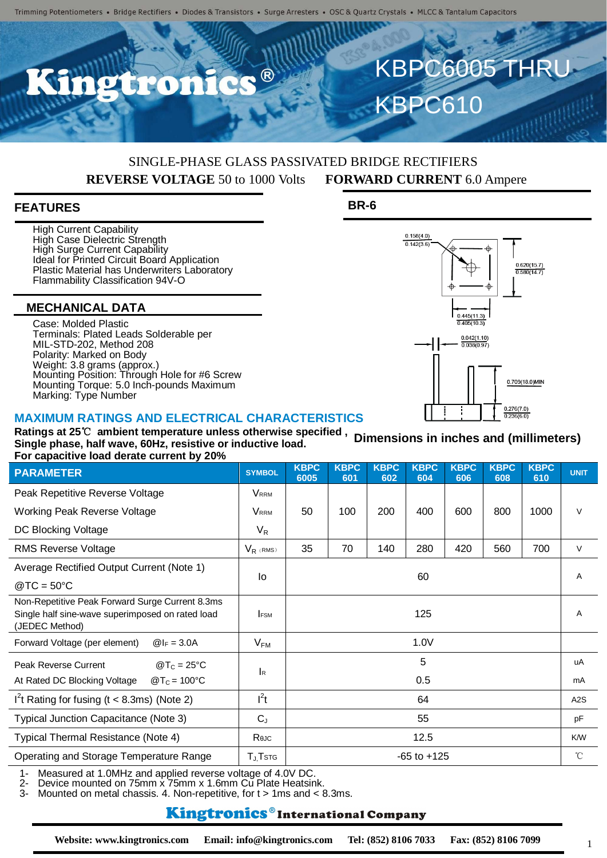$^{\circledR}$ 

# SINGLE-PHASE GLASS PASSIVATED BRIDGE RECTIFIERS **REVERSE VOLTAGE** 50 to 1000 Volts **FORWARD CURRENT** 6.0 Ampere

### **FEATURES**

**High Current Capability** High Case Dielectric Strength High Surge Current Capability Ideal for Printed Circuit Board Application Plastic Material has Underwriters Laboratory Flammability Classification 94V-O

#### **MECHANICAL DATA**

Case: Molded Plastic Terminals: Plated Leads Solderable per MIL-STD-202, Method 208 Polarity: Marked on Body Weight: 3.8 grams (approx.) Mounting Position: Through Hole for #6 Screw Mounting Torque: 5.0 Inch-pounds Maximum Marking: Type Number

# **BR-6**

KBPC610



KBPC6005 THRU

#### **MAXIMUM RATINGS AND ELECTRICAL CHARACTERISTICS**

**Ratings at 25**℃ **ambient temperature unless otherwise specified , Single phase, half wave, 60Hz, resistive or inductive load. For capacitive load derate current by 20% Dimensions in inches and (millimeters)**

| <b>PARAMETER</b>                                                                                                      | <b>SYMBOL</b>           | <b>KBPC</b><br>6005 | <b>KBPC</b><br>601 | <b>KBPC</b><br>602 | <b>KBPC</b><br>604 | <b>KBPC</b><br>606 | <b>KBPC</b><br>608 | <b>KBPC</b><br>610 | <b>UNIT</b>      |
|-----------------------------------------------------------------------------------------------------------------------|-------------------------|---------------------|--------------------|--------------------|--------------------|--------------------|--------------------|--------------------|------------------|
| Peak Repetitive Reverse Voltage                                                                                       | <b>V</b> <sub>RRM</sub> |                     |                    |                    |                    |                    |                    |                    |                  |
| <b>Working Peak Reverse Voltage</b>                                                                                   | <b>V</b> <sub>RRM</sub> | 50                  | 100                | 200                | 400                | 600                | 800                | 1000               | $\vee$           |
| DC Blocking Voltage                                                                                                   | $V_R$                   |                     |                    |                    |                    |                    |                    |                    |                  |
| <b>RMS Reverse Voltage</b>                                                                                            | $V_R$ (RMS)             | 35                  | 70                 | 140                | 280                | 420                | 560                | 700                | $\vee$           |
| Average Rectified Output Current (Note 1)                                                                             |                         | 60                  |                    |                    |                    |                    |                    |                    | Α                |
| $@TC = 50°C$                                                                                                          | lo                      |                     |                    |                    |                    |                    |                    |                    |                  |
| Non-Repetitive Peak Forward Surge Current 8.3ms<br>Single half sine-wave superimposed on rated load<br>(JEDEC Method) | <b>FSM</b>              | 125                 |                    |                    |                    |                    |                    |                    | A                |
| Forward Voltage (per element)<br>$@ _F = 3.0A$                                                                        | $V_{FM}$                | 1.0V                |                    |                    |                    |                    |                    |                    |                  |
| <b>Peak Reverse Current</b><br>$\mathcal{D}T_{C} = 25^{\circ}C$                                                       |                         | 5                   |                    |                    |                    |                    |                    |                    | uA               |
| At Rated DC Blocking Voltage<br>$@T_c = 100°C$                                                                        | <b>I</b> R              | 0.5                 |                    |                    |                    |                    |                    |                    | mA               |
| $I2t$ Rating for fusing (t < 8.3ms) (Note 2)                                                                          | $l^2t$                  | 64                  |                    |                    |                    |                    |                    |                    | A <sub>2</sub> S |
| Typical Junction Capacitance (Note 3)                                                                                 | $C_{J}$                 | 55                  |                    |                    |                    |                    |                    |                    | pF               |
| Typical Thermal Resistance (Note 4)                                                                                   | Reuc                    | 12.5                |                    |                    |                    |                    |                    |                    | <b>K/W</b>       |
| Operating and Storage Temperature Range                                                                               | $T_J$ , $T$ stg         | $-65$ to $+125$     |                    |                    |                    |                    |                    |                    | $^{\circ}$ C     |

1- Measured at 1.0MHz and applied reverse voltage of 4.0V DC.

Device mounted on 75mm x 75mm x 1.6mm Cu Plate Heatsink.

3- Mounted on metal chassis. 4. Non-repetitive, for t > 1ms and < 8.3ms.

## Kingtronics®International Company

**Website: www.kingtronics.com Email: info@kingtronics.com Tel: (852) 8106 7033 Fax: (852) 8106 7099**